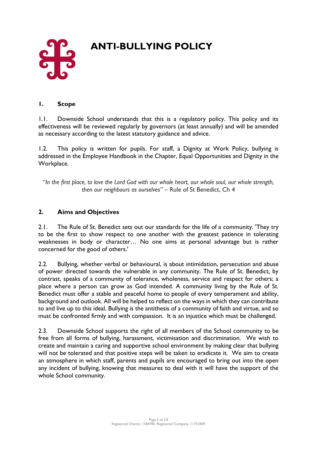

# **ANTI-BULLYING POLICY**

### **1. Scope**

1.1. Downside School understands that this is a regulatory policy. This policy and its effectiveness will be reviewed regularly by governors (at least annually) and will be amended as necessary according to the latest statutory guidance and advice.

1.2. This policy is written for pupils. For staff, a Dignity at Work Policy, bullying is addressed in the Employee Handbook in the Chapter, Equal Opportunities and Dignity in the Workplace.

"*In the first place, to love the Lord God with our whole heart, our whole soul, our whole strength, then our neighbours as ourselves*" – Rule of St Benedict, Ch 4

# **2. Aims and Objectives**

2.1. The Rule of St. Benedict sets out our standards for the life of a community. 'They try to be the first to show respect to one another with the greatest patience in tolerating weaknesses in body or character… No one aims at personal advantage but is rather concerned for the good of others.'

2.2. Bullying, whether verbal or behavioural, is about intimidation, persecution and abuse of power directed towards the vulnerable in any community. The Rule of St. Benedict, by contrast, speaks of a community of tolerance, wholeness, service and respect for others; a place where a person can grow as God intended. A community living by the Rule of St. Benedict must offer a stable and peaceful home to people of every temperament and ability, background and outlook. All will be helped to reflect on the ways in which they can contribute to and live up to this ideal. Bullying is the antithesis of a community of faith and virtue, and so must be confronted firmly and with compassion. It is an injustice which must be challenged.

2.3. Downside School supports the right of all members of the School community to be free from all forms of bullying, harassment, victimisation and discrimination. We wish to create and maintain a caring and supportive school environment by making clear that bullying will not be tolerated and that positive steps will be taken to eradicate it. We aim to create an atmosphere in which staff, parents and pupils are encouraged to bring out into the open any incident of bullying, knowing that measures to deal with it will have the support of the whole School community.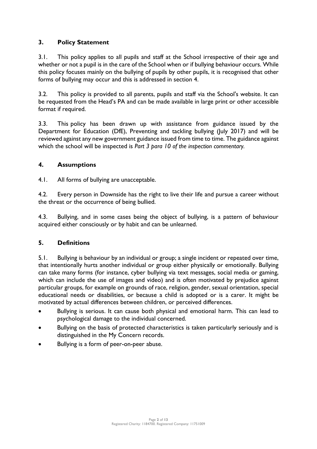# **3. Policy Statement**

3.1. This policy applies to all pupils and staff at the School irrespective of their age and whether or not a pupil is in the care of the School when or if bullying behaviour occurs. While this policy focuses mainly on the bullying of pupils by other pupils, it is recognised that other forms of bullying may occur and this is addressed in section 4.

3.2. This policy is provided to all parents, pupils and staff via the School's website. It can be requested from the Head's PA and can be made available in large print or other accessible format if required.

3.3. This policy has been drawn up with assistance from guidance issued by the Department for Education (DfE), Preventing and tackling bullying (July 2017) and will be reviewed against any new government guidance issued from time to time. The guidance against which the school will be inspected is *Part 3 para 10 of the inspection commentary.*

## **4. Assumptions**

4.1. All forms of bullying are unacceptable.

4.2. Every person in Downside has the right to live their life and pursue a career without the threat or the occurrence of being bullied.

4.3. Bullying, and in some cases being the object of bullying, is a pattern of behaviour acquired either consciously or by habit and can be unlearned.

## **5. Definitions**

5.1. Bullying is behaviour by an individual or group; a single incident or repeated over time, that intentionally hurts another individual or group either physically or emotionally. Bullying can take many forms (for instance, cyber bullying via text messages, social media or gaming, which can include the use of images and video) and is often motivated by prejudice against particular groups, for example on grounds of race, religion, gender, sexual orientation, special educational needs or disabilities, or because a child is adopted or is a carer. It might be motivated by actual differences between children, or perceived differences.

- Bullying is serious. It can cause both physical and emotional harm. This can lead to psychological damage to the individual concerned.
- Bullying on the basis of protected characteristics is taken particularly seriously and is distinguished in the My Concern records.
- Bullying is a form of peer-on-peer abuse.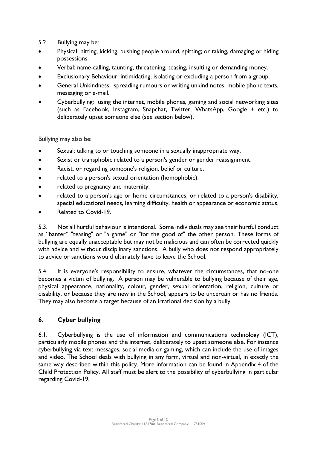- 5.2. Bullying may be:
- Physical: hitting, kicking, pushing people around, spitting; or taking, damaging or hiding possessions.
- Verbal: name-calling, taunting, threatening, teasing, insulting or demanding money.
- Exclusionary Behaviour: intimidating, isolating or excluding a person from a group.
- General Unkindness: spreading rumours or writing unkind notes, mobile phone texts, messaging or e-mail.
- Cyberbullying: using the internet, mobile phones, gaming and social networking sites (such as Facebook, Instagram, Snapchat, Twitter, WhatsApp, Google + etc.) to deliberately upset someone else (see section below).

Bullying may also be:

- Sexual: talking to or touching someone in a sexually inappropriate way.
- Sexist or transphobic related to a person's gender or gender reassignment.
- Racist, or regarding someone's religion, belief or culture.
- related to a person's sexual orientation (homophobic).
- related to pregnancy and maternity.
- related to a person's age or home circumstances; or related to a person's disability, special educational needs, learning difficulty, health or appearance or economic status.
- Related to Covid-19.

5.3. Not all hurtful behaviour is intentional. Some individuals may see their hurtful conduct as "banter" "teasing" or "a game" or "for the good of" the other person. These forms of bullying are equally unacceptable but may not be malicious and can often be corrected quickly with advice and without disciplinary sanctions. A bully who does not respond appropriately to advice or sanctions would ultimately have to leave the School.

5.4. It is everyone's responsibility to ensure, whatever the circumstances, that no-one becomes a victim of bullying. A person may be vulnerable to bullying because of their age, physical appearance, nationality, colour, gender, sexual orientation, religion, culture or disability, or because they are new in the School, appears to be uncertain or has no friends. They may also become a target because of an irrational decision by a bully.

## **6. Cyber bullying**

6.1. Cyberbullying is the use of information and communications technology (ICT), particularly mobile phones and the internet, deliberately to upset someone else. For instance cyberbullying via text messages, social media or gaming, which can include the use of images and video. The School deals with bullying in any form, virtual and non-virtual, in exactly the same way described within this policy. More information can be found in Appendix 4 of the Child Protection Policy. All staff must be alert to the possibility of cyberbullying in particular regarding Covid-19.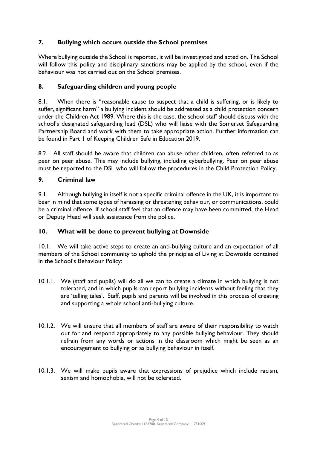# **7. Bullying which occurs outside the School premises**

Where bullying outside the School is reported, it will be investigated and acted on. The School will follow this policy and disciplinary sanctions may be applied by the school, even if the behaviour was not carried out on the School premises.

# **8. Safeguarding children and young people**

8.1. When there is "reasonable cause to suspect that a child is suffering, or is likely to suffer, significant harm" a bullying incident should be addressed as a child protection concern under the Children Act 1989. Where this is the case, the school staff should discuss with the school's designated safeguarding lead (DSL) who will liaise with the Somerset Safeguarding Partnership Board and work with them to take appropriate action. Further information can be found in Part 1 of Keeping Children Safe in Education 2019.

8.2. All staff should be aware that children can abuse other children, often referred to as peer on peer abuse. This may include bullying, including cyberbullying. Peer on peer abuse must be reported to the DSL who will follow the procedures in the Child Protection Policy.

# **9. Criminal law**

9.1. Although bullying in itself is not a specific criminal offence in the UK, it is important to bear in mind that some types of harassing or threatening behaviour, or communications, could be a criminal offence. If school staff feel that an offence may have been committed, the Head or Deputy Head will seek assistance from the police.

## **10. What will be done to prevent bullying at Downside**

10.1. We will take active steps to create an anti-bullying culture and an expectation of all members of the School community to uphold the principles of Living at Downside contained in the School's Behaviour Policy:

- 10.1.1. We (staff and pupils) will do all we can to create a climate in which bullying is not tolerated, and in which pupils can report bullying incidents without feeling that they are 'telling tales'. Staff, pupils and parents will be involved in this process of creating and supporting a whole school anti-bullying culture.
- 10.1.2. We will ensure that all members of staff are aware of their responsibility to watch out for and respond appropriately to any possible bullying behaviour. They should refrain from any words or actions in the classroom which might be seen as an encouragement to bullying or as bullying behaviour in itself.
- 10.1.3. We will make pupils aware that expressions of prejudice which include racism, sexism and homophobia, will not be tolerated.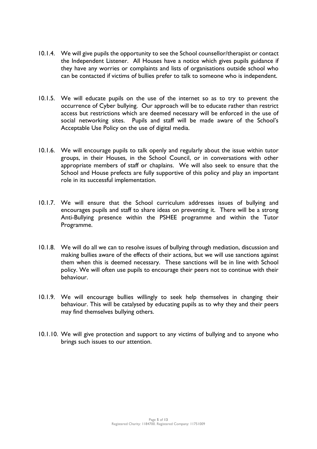- 10.1.4. We will give pupils the opportunity to see the School counsellor/therapist or contact the Independent Listener. All Houses have a notice which gives pupils guidance if they have any worries or complaints and lists of organisations outside school who can be contacted if victims of bullies prefer to talk to someone who is independent.
- 10.1.5. We will educate pupils on the use of the internet so as to try to prevent the occurrence of Cyber bullying. Our approach will be to educate rather than restrict access but restrictions which are deemed necessary will be enforced in the use of social networking sites. Pupils and staff will be made aware of the School's Acceptable Use Policy on the use of digital media.
- 10.1.6. We will encourage pupils to talk openly and regularly about the issue within tutor groups, in their Houses, in the School Council, or in conversations with other appropriate members of staff or chaplains. We will also seek to ensure that the School and House prefects are fully supportive of this policy and play an important role in its successful implementation.
- 10.1.7. We will ensure that the School curriculum addresses issues of bullying and encourages pupils and staff to share ideas on preventing it. There will be a strong Anti-Bullying presence within the PSHEE programme and within the Tutor Programme.
- 10.1.8. We will do all we can to resolve issues of bullying through mediation, discussion and making bullies aware of the effects of their actions, but we will use sanctions against them when this is deemed necessary. These sanctions will be in line with School policy. We will often use pupils to encourage their peers not to continue with their behaviour.
- 10.1.9. We will encourage bullies willingly to seek help themselves in changing their behaviour. This will be catalysed by educating pupils as to why they and their peers may find themselves bullying others.
- 10.1.10. We will give protection and support to any victims of bullying and to anyone who brings such issues to our attention.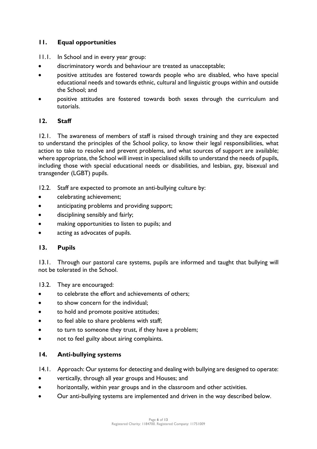# **11. Equal opportunities**

- 11.1. In School and in every year group:
- discriminatory words and behaviour are treated as unacceptable;
- positive attitudes are fostered towards people who are disabled, who have special educational needs and towards ethnic, cultural and linguistic groups within and outside the School; and
- positive attitudes are fostered towards both sexes through the curriculum and tutorials.

## **12. Staff**

12.1. The awareness of members of staff is raised through training and they are expected to understand the principles of the School policy, to know their legal responsibilities, what action to take to resolve and prevent problems, and what sources of support are available; where appropriate, the School will invest in specialised skills to understand the needs of pupils, including those with special educational needs or disabilities, and lesbian, gay, bisexual and transgender (LGBT) pupils.

- 12.2. Staff are expected to promote an anti-bullying culture by:
- celebrating achievement;
- anticipating problems and providing support;
- disciplining sensibly and fairly;
- making opportunities to listen to pupils; and
- acting as advocates of pupils.

#### **13. Pupils**

13.1. Through our pastoral care systems, pupils are informed and taught that bullying will not be tolerated in the School.

13.2. They are encouraged:

- to celebrate the effort and achievements of others;
- to show concern for the individual:
- to hold and promote positive attitudes;
- to feel able to share problems with staff;
- to turn to someone they trust, if they have a problem;
- not to feel guilty about airing complaints.

#### **14. Anti-bullying systems**

- 14.1. Approach: Our systems for detecting and dealing with bullying are designed to operate:
- vertically, through all year groups and Houses; and
- horizontally, within year groups and in the classroom and other activities.
- Our anti-bullying systems are implemented and driven in the way described below.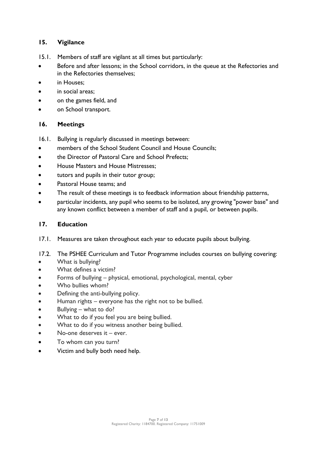# **15. Vigilance**

- 15.1. Members of staff are vigilant at all times but particularly:
- Before and after lessons; in the School corridors, in the queue at the Refectories and in the Refectories themselves;
- in Houses:
- in social areas:
- on the games field, and
- on School transport.

# **16. Meetings**

- 16.1. Bullying is regularly discussed in meetings between:
- members of the School Student Council and House Councils;
- the Director of Pastoral Care and School Prefects:
- House Masters and House Mistresses;
- tutors and pupils in their tutor group;
- Pastoral House teams; and
- The result of these meetings is to feedback information about friendship patterns,
- particular incidents, any pupil who seems to be isolated, any growing "power base" and any known conflict between a member of staff and a pupil, or between pupils.

# **17. Education**

- 17.1. Measures are taken throughout each year to educate pupils about bullying.
- 17.2. The PSHEE Curriculum and Tutor Programme includes courses on bullying covering:
- What is bullying?
- What defines a victim?
- Forms of bullying physical, emotional, psychological, mental, cyber
- Who bullies whom?
- Defining the anti-bullying policy.
- Human rights everyone has the right not to be bullied.
- Bullying what to do?
- What to do if you feel you are being bullied.
- What to do if you witness another being bullied.
- No-one deserves it ever.
- To whom can you turn?
- Victim and bully both need help.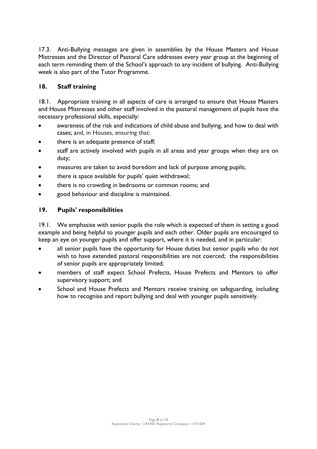17.3. Anti-Bullying messages are given in assemblies by the House Masters and House Mistresses and the Director of Pastoral Care addresses every year group at the beginning of each term reminding them of the School's approach to any incident of bullying. Anti-Bullying week is also part of the Tutor Programme.

# **18. Staff training**

18.1. Appropriate training in all aspects of care is arranged to ensure that House Masters and House Mistresses and other staff involved in the pastoral management of pupils have the necessary professional skills, especially:

- awareness of the risk and indications of child abuse and bullying, and how to deal with cases; and, in Houses, ensuring that:
- there is an adequate presence of staff;
- staff are actively involved with pupils in all areas and year groups when they are on duty;
- measures are taken to avoid boredom and lack of purpose among pupils;
- there is space available for pupils' quiet withdrawal;
- there is no crowding in bedrooms or common rooms; and
- good behaviour and discipline is maintained.

# **19. Pupils' responsibilities**

19.1. We emphasise with senior pupils the role which is expected of them in setting a good example and being helpful to younger pupils and each other. Older pupils are encouraged to keep an eye on younger pupils and offer support, where it is needed, and in particular:

- all senior pupils have the opportunity for House duties but senior pupils who do not wish to have extended pastoral responsibilities are not coerced; the responsibilities of senior pupils are appropriately limited;
- members of staff expect School Prefects, House Prefects and Mentors to offer supervisory support; and
- School and House Prefects and Mentors receive training on safeguarding, including how to recognise and report bullying and deal with younger pupils sensitively.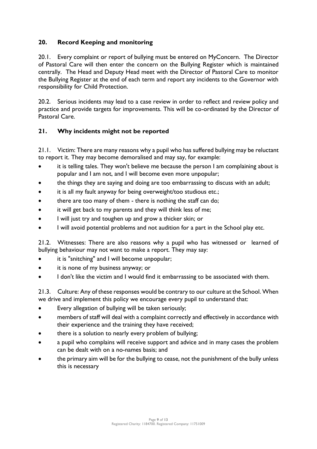# **20. Record Keeping and monitoring**

20.1. Every complaint or report of bullying must be entered on MyConcern. The Director of Pastoral Care will then enter the concern on the Bullying Register which is maintained centrally. The Head and Deputy Head meet with the Director of Pastoral Care to monitor the Bullying Register at the end of each term and report any incidents to the Governor with responsibility for Child Protection.

20.2. Serious incidents may lead to a case review in order to reflect and review policy and practice and provide targets for improvements. This will be co-ordinated by the Director of Pastoral Care.

## **21. Why incidents might not be reported**

21.1. Victim: There are many reasons why a pupil who has suffered bullying may be reluctant to report it. They may become demoralised and may say, for example:

- it is telling tales. They won't believe me because the person I am complaining about is popular and I am not, and I will become even more unpopular;
- the things they are saying and doing are too embarrassing to discuss with an adult;
- it is all my fault anyway for being overweight/too studious etc.;
- there are too many of them there is nothing the staff can do;
- it will get back to my parents and they will think less of me;
- I will just try and toughen up and grow a thicker skin; or
- I will avoid potential problems and not audition for a part in the School play etc.

21.2. Witnesses: There are also reasons why a pupil who has witnessed or learned of bullying behaviour may not want to make a report. They may say:

- it is "snitching" and I will become unpopular;
- it is none of my business anyway; or
- I don't like the victim and I would find it embarrassing to be associated with them.

21.3. Culture: Any of these responses would be contrary to our culture at the School. When we drive and implement this policy we encourage every pupil to understand that:

- Every allegation of bullying will be taken seriously;
- members of staff will deal with a complaint correctly and effectively in accordance with their experience and the training they have received;
- there is a solution to nearly every problem of bullying;
- a pupil who complains will receive support and advice and in many cases the problem can be dealt with on a no-names basis; and
- the primary aim will be for the bullying to cease, not the punishment of the bully unless this is necessary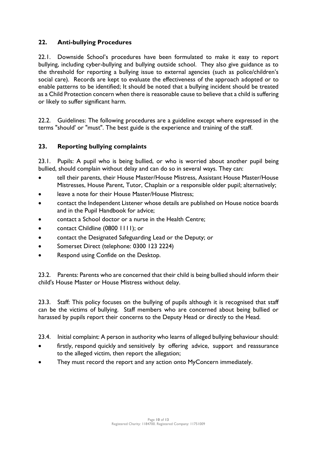# **22. Anti-bullying Procedures**

22.1. Downside School's procedures have been formulated to make it easy to report bullying, including cyber-bullying and bullying outside school. They also give guidance as to the threshold for reporting a bullying issue to external agencies (such as police/children's social care). Records are kept to evaluate the effectiveness of the approach adopted or to enable patterns to be identified; It should be noted that a bullying incident should be treated as a Child Protection concern when there is reasonable cause to believe that a child is suffering or likely to suffer significant harm.

22.2. Guidelines: The following procedures are a guideline except where expressed in the terms "should' or "must". The best guide is the experience and training of the staff.

## **23. Reporting bullying complaints**

23.1. Pupils: A pupil who is being bullied, or who is worried about another pupil being bullied, should complain without delay and can do so in several ways. They can:

- tell their parents, their House Master/House Mistress, Assistant House Master/House Mistresses, House Parent, Tutor, Chaplain or a responsible older pupil; alternatively;
- leave a note for their House Master/House Mistress;
- contact the Independent Listener whose details are published on House notice boards and in the Pupil Handbook for advice;
- contact a School doctor or a nurse in the Health Centre;
- contact Childline (0800 1111); or
- contact the Designated Safeguarding Lead or the Deputy; or
- Somerset Direct (telephone: 0300 123 2224)
- Respond using Confide on the Desktop.

23.2. Parents: Parents who are concerned that their child is being bullied should inform their child's House Master or House Mistress without delay.

23.3. Staff: This policy focuses on the bullying of pupils although it is recognised that staff can be the victims of bullying. Staff members who are concerned about being bullied or harassed by pupils report their concerns to the Deputy Head or directly to the Head.

23.4. Initial complaint: A person in authority who learns of alleged bullying behaviour should:

- firstly, respond quickly and sensitively by offering advice, support and reassurance to the alleged victim, then report the allegation;
- They must record the report and any action onto MyConcern immediately.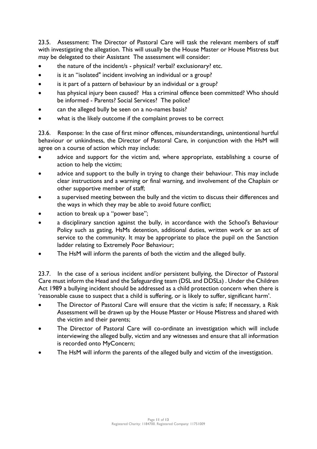23.5. Assessment: The Director of Pastoral Care will task the relevant members of staff with investigating the allegation. This will usually be the House Master or House Mistress but may be delegated to their Assistant The assessment will consider:

- the nature of the incident/s physical? verbal? exclusionary? etc.
- is it an "isolated" incident involving an individual or a group?
- is it part of a pattern of behaviour by an individual or a group?
- has physical injury been caused? Has a criminal offence been committed? Who should be informed - Parents? Social Services? The police?
- can the alleged bully be seen on a no-names basis?
- what is the likely outcome if the complaint proves to be correct

23.6. Response: In the case of first minor offences, misunderstandings, unintentional hurtful behaviour or unkindness, the Director of Pastoral Care, in conjunction with the HsM will agree on a course of action which may include:

- advice and support for the victim and, where appropriate, establishing a course of action to help the victim;
- advice and support to the bully in trying to change their behaviour. This may include clear instructions and a warning or final warning, and involvement of the Chaplain or other supportive member of staff;
- a supervised meeting between the bully and the victim to discuss their differences and the ways in which they may be able to avoid future conflict;
- action to break up a "power base";
- a disciplinary sanction against the bully, in accordance with the School's Behaviour Policy such as gating, HsMs detention, additional duties, written work or an act of service to the community. It may be appropriate to place the pupil on the Sanction ladder relating to Extremely Poor Behaviour;
- The HsM will inform the parents of both the victim and the alleged bully.

23.7. In the case of a serious incident and/or persistent bullying, the Director of Pastoral Care must inform the Head and the Safeguarding team (DSL and DDSLs) . Under the Children Act 1989 a bullying incident should be addressed as a child protection concern when there is 'reasonable cause to suspect that a child is suffering, or is likely to suffer, significant harm'.

- The Director of Pastoral Care will ensure that the victim is safe; If necessary, a Risk Assessment will be drawn up by the House Master or House Mistress and shared with the victim and their parents;
- The Director of Pastoral Care will co-ordinate an investigation which will include interviewing the alleged bully, victim and any witnesses and ensure that all information is recorded onto MyConcern;
- The HsM will inform the parents of the alleged bully and victim of the investigation.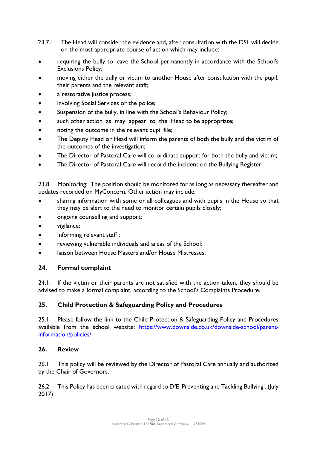- 23.7.1. The Head will consider the evidence and, after consultation with the DSL will decide on the most appropriate course of action which may include:
- requiring the bully to leave the School permanently in accordance with the School's Exclusions Policy;
- moving either the bully or victim to another House after consultation with the pupil, their parents and the relevant staff;
- a restorative justice process;
- involving Social Services or the police;
- Suspension of the bully, in line with the School's Behaviour Policy;
- such other action as may appear to the Head to be appropriate;
- noting the outcome in the relevant pupil file;
- The Deputy Head or Head will inform the parents of both the bully and the victim of the outcomes of the investigation;
- The Director of Pastoral Care will co-ordinate support for both the bully and victim;
- The Director of Pastoral Care will record the incident on the Bullying Register.

23.8. Monitoring: The position should be monitored for as long as necessary thereafter and updates recorded on MyConcern. Other action may include:

- sharing information with some or all colleagues and with pupils in the House so that they may be alert to the need to monitor certain pupils closely;
- ongoing counselling and support;
- vigilance;
- Informing relevant staff;
- reviewing vulnerable individuals and areas of the School;
- liaison between House Masters and/or House Mistresses;

## **24. Formal complaint**

24.1. If the victim or their parents are not satisfied with the action taken, they should be advised to make a formal complaint, according to the School's Complaints Procedure.

## **25. Child Protection & Safeguarding Policy and Procedures**

25.1. Please follow the link to the Child Protection & Safeguarding Policy and Procedures available from the school website: [https://www.downside.co.uk/downside-school/parent](https://www.downside.co.uk/downside-school/parent-information/policies/)[information/policies/](https://www.downside.co.uk/downside-school/parent-information/policies/)

## **26. Review**

26.1. This policy will be reviewed by the Director of Pastoral Care annually and authorized by the Chair of Governors.

26.2. This Policy has been created with regard to DfE 'Preventing and Tackling Bullying'. (July 2017)